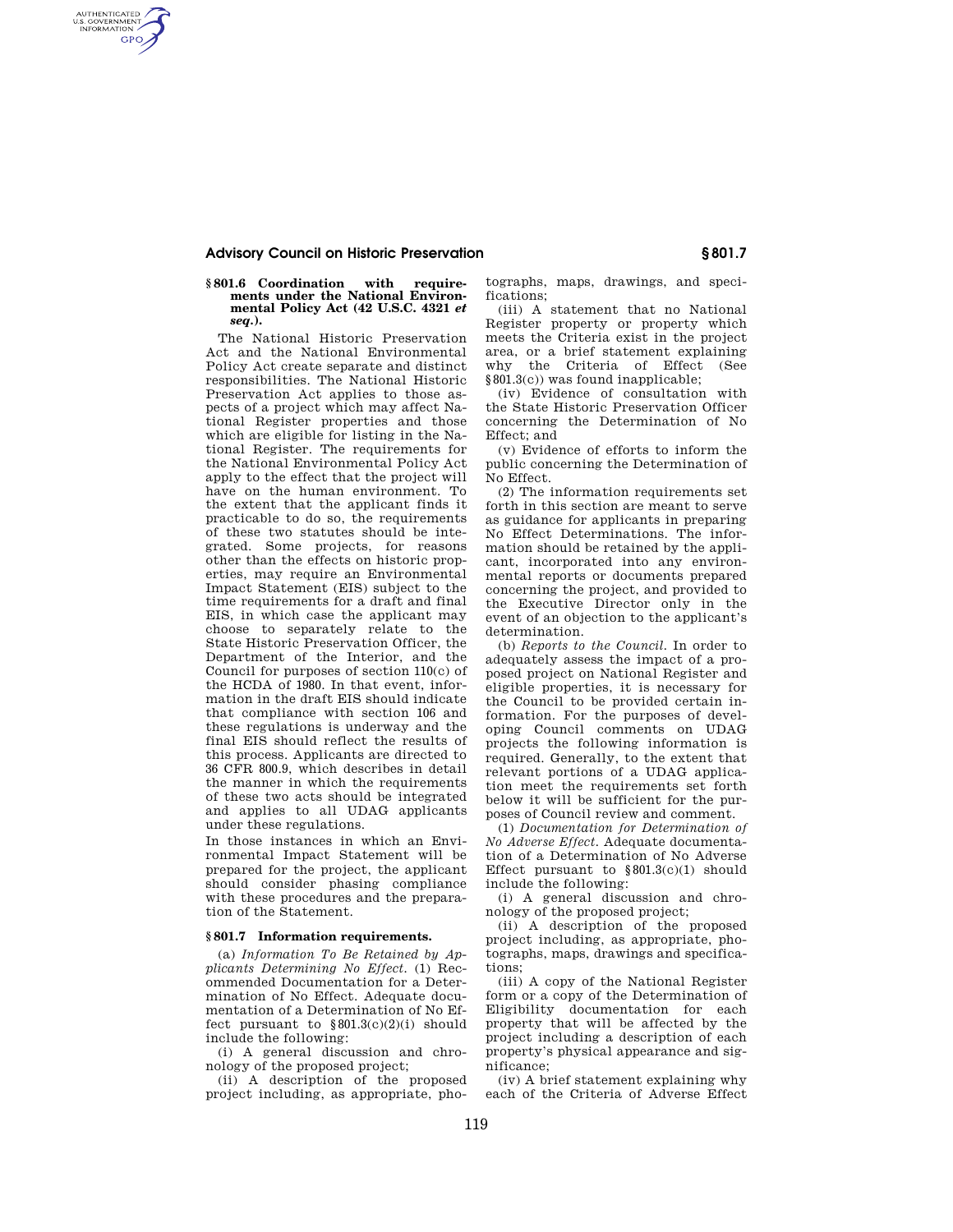## **Advisory Council on Historic Preservation § 801.7**

AUTHENTICATED<br>U.S. GOVERNMENT<br>INFORMATION **GPO** 

## **§ 801.6 Coordination with requirements under the National Environmental Policy Act (42 U.S.C. 4321** *et seq.***).**

The National Historic Preservation Act and the National Environmental Policy Act create separate and distinct responsibilities. The National Historic Preservation Act applies to those aspects of a project which may affect National Register properties and those which are eligible for listing in the National Register. The requirements for the National Environmental Policy Act apply to the effect that the project will have on the human environment. To the extent that the applicant finds it practicable to do so, the requirements of these two statutes should be integrated. Some projects, for reasons other than the effects on historic properties, may require an Environmental Impact Statement (EIS) subject to the time requirements for a draft and final EIS, in which case the applicant may choose to separately relate to the State Historic Preservation Officer, the Department of the Interior, and the Council for purposes of section 110(c) of the HCDA of 1980. In that event, information in the draft EIS should indicate that compliance with section 106 and these regulations is underway and the final EIS should reflect the results of this process. Applicants are directed to 36 CFR 800.9, which describes in detail the manner in which the requirements of these two acts should be integrated and applies to all UDAG applicants under these regulations.

In those instances in which an Environmental Impact Statement will be prepared for the project, the applicant should consider phasing compliance with these procedures and the preparation of the Statement.

## **§ 801.7 Information requirements.**

(a) *Information To Be Retained by Applicants Determining No Effect.* (1) Recommended Documentation for a Determination of No Effect. Adequate documentation of a Determination of No Effect pursuant to  $\$801.3(c)(2)(i)$  should include the following:

(i) A general discussion and chronology of the proposed project;

(ii) A description of the proposed project including, as appropriate, photographs, maps, drawings, and specifications;

(iii) A statement that no National Register property or property which meets the Criteria exist in the project area, or a brief statement explaining why the Criteria of Effect (See §801.3(c)) was found inapplicable;

(iv) Evidence of consultation with the State Historic Preservation Officer concerning the Determination of No Effect: and

(v) Evidence of efforts to inform the public concerning the Determination of No Effect.

(2) The information requirements set forth in this section are meant to serve as guidance for applicants in preparing No Effect Determinations. The information should be retained by the applicant, incorporated into any environmental reports or documents prepared concerning the project, and provided to the Executive Director only in the event of an objection to the applicant's determination.

(b) *Reports to the Council.* In order to adequately assess the impact of a proposed project on National Register and eligible properties, it is necessary for the Council to be provided certain information. For the purposes of developing Council comments on UDAG projects the following information is required. Generally, to the extent that relevant portions of a UDAG application meet the requirements set forth below it will be sufficient for the purposes of Council review and comment.

(1) *Documentation for Determination of No Adverse Effect.* Adequate documentation of a Determination of No Adverse Effect pursuant to  $$801.3(c)(1)$  should include the following:

(i) A general discussion and chronology of the proposed project;

(ii) A description of the proposed project including, as appropriate, photographs, maps, drawings and specifications;

(iii) A copy of the National Register form or a copy of the Determination of Eligibility documentation for each property that will be affected by the project including a description of each property's physical appearance and significance;

(iv) A brief statement explaining why each of the Criteria of Adverse Effect